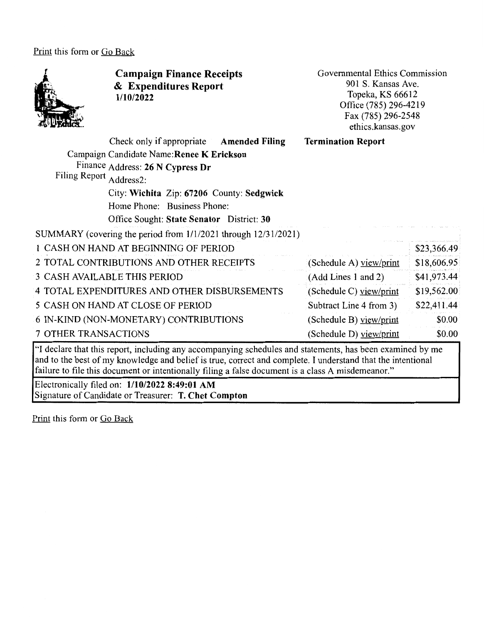Print this form or Go Back



**Campaign Finance Receipts**  & **Expenditures Report 1/10/2022** 

Governmental Ethics Commission 901 S. Kansas Ave. Topeka, KS 66612 Office (785) 296-4219 Fax (785) 296-2548 ethics.kansas.gov

|                                                                                                                                  | Check only if appropriate Amended Filing<br>Campaign Candidate Name: Renee K Erickson<br>Finance Address: 26 N Cypress Dr | <b>Termination Report</b> |             |
|----------------------------------------------------------------------------------------------------------------------------------|---------------------------------------------------------------------------------------------------------------------------|---------------------------|-------------|
| Filing Report Address2:                                                                                                          |                                                                                                                           |                           |             |
|                                                                                                                                  | City: Wichita Zip: 67206 County: Sedgwick                                                                                 |                           |             |
|                                                                                                                                  | Home Phone: Business Phone:                                                                                               |                           |             |
|                                                                                                                                  | Office Sought: State Senator District: 30                                                                                 |                           |             |
|                                                                                                                                  | SUMMARY (covering the period from 1/1/2021 through 12/31/2021)                                                            |                           |             |
|                                                                                                                                  | 1 CASH ON HAND AT BEGINNING OF PERIOD                                                                                     |                           | \$23,366.49 |
|                                                                                                                                  | 2 TOTAL CONTRIBUTIONS AND OTHER RECEIPTS                                                                                  | (Schedule A) yiew/print   | \$18,606.95 |
|                                                                                                                                  | 3 CASH AVAILABLE THIS PERIOD                                                                                              | (Add Lines 1 and 2)       | \$41,973.44 |
|                                                                                                                                  | 4 TOTAL EXPENDITURES AND OTHER DISBURSEMENTS                                                                              | (Schedule C) view/print   | \$19,562.00 |
|                                                                                                                                  | 5 CASH ON HAND AT CLOSE OF PERIOD                                                                                         | Subtract Line 4 from 3)   | \$22,411.44 |
|                                                                                                                                  | 6 IN-KIND (NON-MONETARY) CONTRIBUTIONS                                                                                    | (Schedule B) view/print   | \$0.00      |
| 7 OTHER TRANSACTIONS                                                                                                             |                                                                                                                           | (Schedule D) view/print   | \$0.00      |
| $\alpha$ , and $\alpha$ , and $\alpha$ , and $\alpha$ , and $\alpha$ , and $\alpha$ , and $\alpha$ , and $\alpha$ , and $\alpha$ |                                                                                                                           |                           | $\sqrt{11}$ |

''I declare that this report, including any accompanying schedules and statements, has been examined by me and to the best of my knowledge and belief is true, correct and complete. I understand that the intentional failure to file this document or intentionally filing a false document is a class A misdemeanor."

Electronically filed on: **1/10/2022 8:49:01 AM**  Signature of Candidate or Treasurer: **T. Chet Compton** 

Print this form or Go Back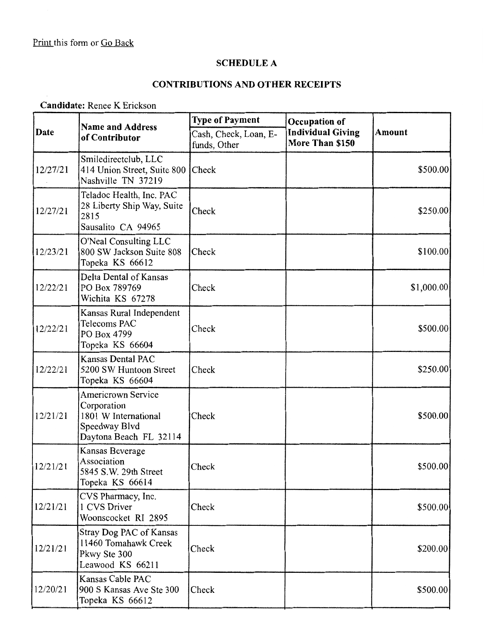# **SCHEDULE A**

## **CONTRIBUTIONS AND OTHER RECEIPTS**

**Candidate:** Renee K Erickson

| Date     | <b>Name and Address</b><br>of Contributor                                                                   | <b>Type of Payment</b>                | Occupation of                               | Amount     |
|----------|-------------------------------------------------------------------------------------------------------------|---------------------------------------|---------------------------------------------|------------|
|          |                                                                                                             | Cash, Check, Loan, E-<br>funds, Other | <b>Individual Giving</b><br>More Than \$150 |            |
| 12/27/21 | Smiledirectclub, LLC<br>414 Union Street, Suite 800<br>Nashville TN 37219                                   | Check                                 |                                             | \$500.00   |
| 12/27/21 | Teladoc Health, Inc. PAC<br>28 Liberty Ship Way, Suite<br>2815<br>Sausalito CA 94965                        | Check                                 |                                             | \$250.00   |
| 12/23/21 | O'Neal Consulting LLC<br>800 SW Jackson Suite 808<br>Topeka KS 66612                                        | Check                                 |                                             | \$100.00]  |
| 12/22/21 | Delta Dental of Kansas<br>PO Box 789769<br>Wichita KS 67278                                                 | Check                                 |                                             | \$1,000.00 |
| 12/22/21 | Kansas Rural Independent<br>Telecoms PAC<br>PO Box 4799<br>Topeka KS 66604                                  | Check                                 |                                             | \$500.00   |
| 12/22/21 | Kansas Dental PAC<br>5200 SW Huntoon Street<br>Topeka KS 66604                                              | Check                                 |                                             | \$250.00]  |
| 12/21/21 | <b>Americrown Service</b><br>Corporation<br>1801 W International<br>Speedway Blvd<br>Daytona Beach FL 32114 | Check                                 |                                             | \$500.00   |
| 12/21/21 | Kansas Beverage<br>Association<br>5845 S.W. 29th Street<br>Topeka KS 66614                                  | Check                                 |                                             | \$500.00   |
| 12/21/21 | CVS Pharmacy, Inc.<br>1 CVS Driver<br>Woonscocket RI 2895                                                   | Check                                 |                                             | \$500.00]  |
| 12/21/21 | Stray Dog PAC of Kansas<br>11460 Tomahawk Creek<br>Pkwy Ste 300<br>Leawood KS 66211                         | Check                                 |                                             | \$200.00   |
| 12/20/21 | Kansas Cable PAC<br>900 S Kansas Ave Ste 300<br>Topeka KS 66612                                             | Check                                 |                                             | \$500.00   |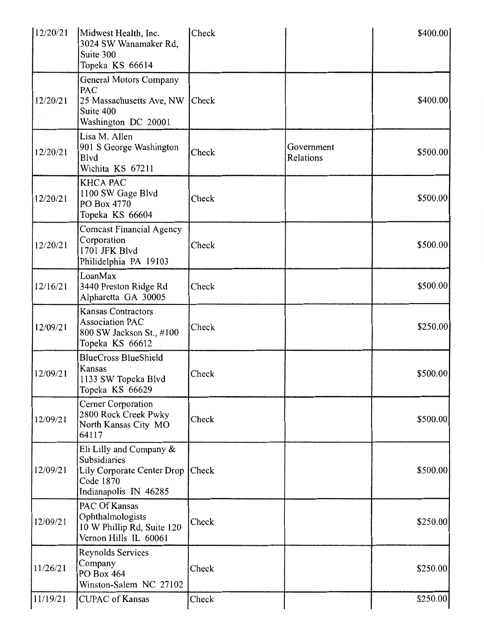| 12/20/21 | Midwest Health, Inc.<br>3024 SW Wanamaker Rd,<br>Suite 300<br>Topeka KS 66614                                       | Check |                         | \$400.00] |
|----------|---------------------------------------------------------------------------------------------------------------------|-------|-------------------------|-----------|
| 12/20/21 | General Motors Company<br>PAC<br>25 Massachusetts Ave, NW<br>Suite 400<br>Washington DC 20001                       | Check |                         | \$400.00] |
| 12/20/21 | Lisa M. Allen<br>901 S George Washington<br><b>B</b> lvd<br>Wichita KS 67211                                        | Check | Government<br>Relations | \$500.00  |
| 12/20/21 | <b>KHCA PAC</b><br>1100 SW Gage Blvd<br>PO Box 4770<br>Topeka KS 66604                                              | Check |                         | \$500.00  |
| 12/20/21 | <b>Comcast Financial Agency</b><br>Corporation<br>1701 JFK Blvd<br>Philidelphia PA 19103                            | Check |                         | \$500.00  |
| 12/16/21 | LoanMax<br>3440 Preston Ridge Rd<br>Alpharetta GA 30005                                                             | Check |                         | \$500.00  |
| 12/09/21 | <b>Kansas Contractors</b><br><b>Association PAC</b><br>800 SW Jackson St., #100<br>Topeka KS 66612                  | Check |                         | \$250.00] |
| 12/09/21 | <b>BlueCross BlueShield</b><br>Kansas<br>1133 SW Topeka Blvd<br>Topeka KS 66629                                     | Check |                         | \$500.00  |
| 12/09/21 | Cerner Corporation<br>2800 Rock Creek Pwky<br>North Kansas City MO<br>64117                                         | Check |                         | \$500.00  |
| 12/09/21 | Eli Lilly and Company &<br>Subsidiaries<br>Lily Corporate Center Drop   Check<br>Code 1870<br>Indianapolis IN 46285 |       |                         | \$500.00  |
| 12/09/21 | PAC Of Kansas<br>Ophthalmologists<br>10 W Phillip Rd, Suite 120<br>Vernon Hills IL 60061                            | Check |                         | \$250.00  |
| 11/26/21 | Reynolds Services<br>Company<br>PO Box 464<br>Winston-Salem NC 27102                                                | Check |                         | \$250.00  |
| 11/19/21 | <b>CUPAC</b> of Kansas                                                                                              | Check |                         | \$250.00  |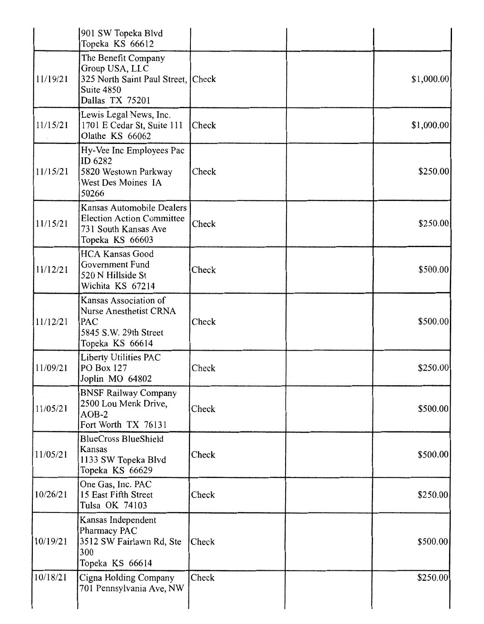|          | 901 SW Topeka Blvd<br>Topeka KS 66612                                                                        |       |            |
|----------|--------------------------------------------------------------------------------------------------------------|-------|------------|
| 11/19/21 | The Benefit Company<br>Group USA, LLC<br>325 North Saint Paul Street, Check<br>Suite 4850<br>Dallas TX 75201 |       | \$1,000.00 |
| 11/15/21 | Lewis Legal News, Inc.<br>1701 E Cedar St, Suite 111<br>Olathe KS 66062                                      | Check | \$1,000.00 |
| 11/15/21 | Hy-Vee Inc Employees Pac<br>ID 6282<br>5820 Westown Parkway<br>West Des Moines IA<br>50266                   | Check | \$250.00   |
| 11/15/21 | Kansas Automobile Dealers<br><b>Election Action Committee</b><br>731 South Kansas Ave<br>Topeka KS 66603     | Check | \$250.00   |
| 11/12/21 | <b>HCA Kansas Good</b><br>Government Fund<br>520 N Hillside St<br>Wichita KS 67214                           | Check | \$500.00   |
| 11/12/21 | Kansas Association of<br>Nurse Anesthetist CRNA<br>PAC<br>5845 S.W. 29th Street<br>Topeka KS 66614           | Check | \$500.00   |
| 11/09/21 | Liberty Utilities PAC<br><b>PO Box 127</b><br>Joplin MO 64802                                                | Check | \$250.00]  |
| 11/05/21 | <b>BNSF Railway Company</b><br>2500 Lou Menk Drive,<br>$AOB-2$<br>Fort Worth TX 76131                        | Check | \$500.00   |
| 11/05/21 | <b>BlueCross BlueShield</b><br>Kansas<br>1133 SW Topeka Blvd<br>Topeka KS 66629                              | Check | \$500.00   |
| 10/26/21 | One Gas, Inc. PAC<br>15 East Fifth Street<br>Tulsa OK 74103                                                  | Check | \$250.00   |
| 10/19/21 | Kansas Independent<br>Pharmacy PAC<br>3512 SW Fairlawn Rd, Ste<br>300<br>Topeka KS 66614                     | Check | \$500.00   |
| 10/18/21 | Cigna Holding Company<br>701 Pennsylvania Ave, NW                                                            | Check | \$250.00   |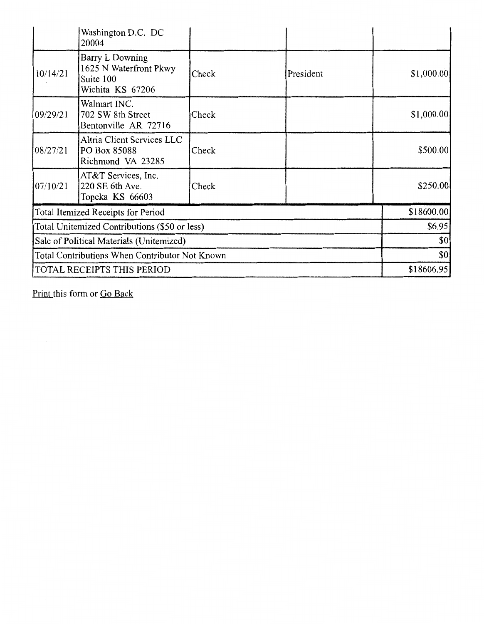|                                                | Washington D.C. DC<br>20004                                                |       |            |             |
|------------------------------------------------|----------------------------------------------------------------------------|-------|------------|-------------|
| 10/14/21                                       | Barry L Downing<br>1625 N Waterfront Pkwy<br>Suite 100<br>Wichita KS 67206 | Check | President  | \$1,000.00] |
| 109/29/21                                      | Walmart INC.<br>702 SW 8th Street<br>Bentonville AR 72716                  | Check |            | \$1,000.00  |
| 08/27/21                                       | Altria Client Services LLC<br>PO Box 85088<br>Richmond VA 23285            | Check |            | \$500.00    |
| 07/10/21                                       | AT&T Services, Inc.<br>220 SE 6th Ave.<br>Topeka KS 66603                  | Check |            | \$250.00    |
| Total Itemized Receipts for Period             |                                                                            |       | \$18600.00 |             |
| Total Unitemized Contributions (\$50 or less)  |                                                                            |       | \$6.95     |             |
| Sale of Political Materials (Unitemized)       |                                                                            |       | \$0        |             |
| Total Contributions When Contributor Not Known |                                                                            |       | \$0        |             |
| TOTAL RECEIPTS THIS PERIOD                     |                                                                            |       | \$18606.95 |             |

Print this form or Go Back